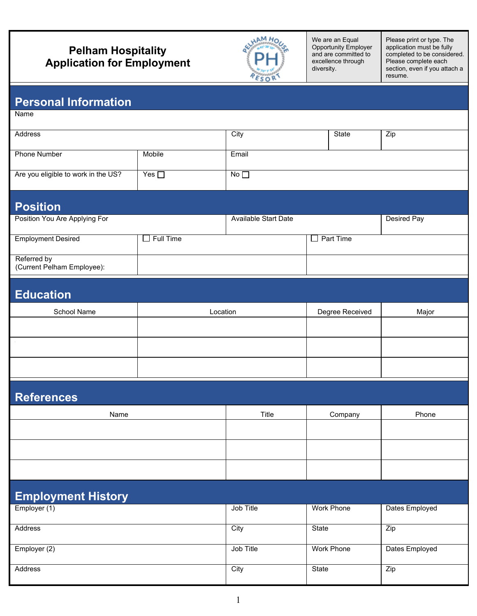## **Pelham Hospitality Application for Employment**



We are an Equal Opportunity Employer and are committed to excellence through diversity.

Please print or type. The application must be fully completed to be considered. Please complete each section, even if you attach a resume.

### **Personal Information**

Name

| Address                             |                        | City         | State | Zip |
|-------------------------------------|------------------------|--------------|-------|-----|
|                                     |                        |              |       |     |
|                                     |                        |              |       |     |
| <b>Phone Number</b>                 | Mobile                 | Email        |       |     |
|                                     |                        |              |       |     |
|                                     |                        |              |       |     |
| Are you eligible to work in the US? | Yes $\mathrel{\sqcup}$ | No $\square$ |       |     |
|                                     |                        |              |       |     |
|                                     |                        |              |       |     |

### **Position**

| .                             |           |                      |             |             |
|-------------------------------|-----------|----------------------|-------------|-------------|
| Position You Are Applying For |           | Available Start Date |             | Desired Pay |
|                               |           |                      |             |             |
| <b>Employment Desired</b>     | Full Time |                      | l Part Time |             |
|                               |           |                      |             |             |
| Referred by                   |           |                      |             |             |
| (Current Pelham Employee):    |           |                      |             |             |

## **Education**

| School Name | Location | Degree Received | Major |
|-------------|----------|-----------------|-------|
|             |          |                 |       |
|             |          |                 |       |
|             |          |                 |       |
|             |          |                 |       |

# **References** Name | Title | Company | Phone

## **Employment History**

| .<br>.,        |           |            |                |
|----------------|-----------|------------|----------------|
| Employer (1)   | Job Title | Work Phone | Dates Employed |
|                |           |            |                |
| Address        | City      | State      | Zip            |
|                |           |            |                |
| Employer (2)   | Job Title | Work Phone | Dates Employed |
|                |           |            |                |
| <b>Address</b> | City      | State      | Zip            |
|                |           |            |                |